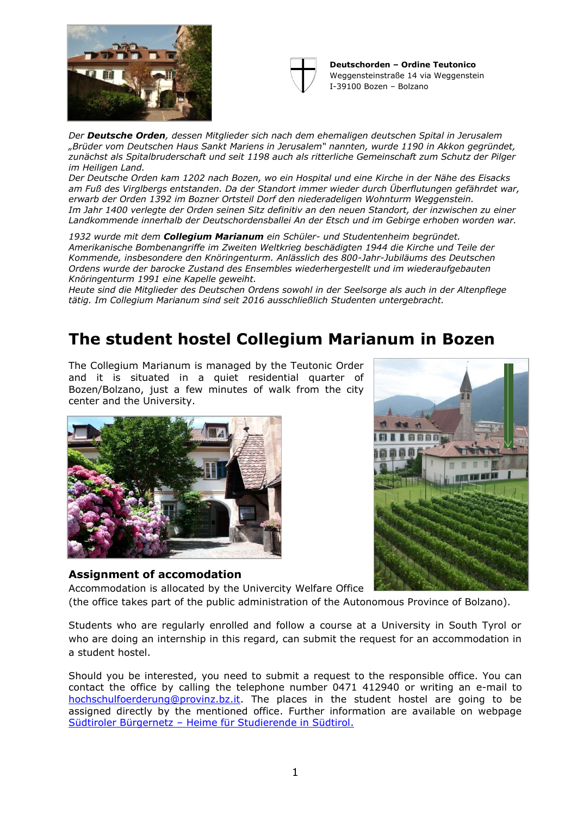



**Deutschorden – Ordine Teutonico** Weggensteinstraße 14 via Weggenstein I-39100 Bozen – Bolzano

*Der Deutsche Orden, dessen Mitglieder sich nach dem ehemaligen deutschen Spital in Jerusalem "Brüder vom Deutschen Haus Sankt Mariens in Jerusalem" nannten, wurde 1190 in Akkon gegründet, zunächst als Spitalbruderschaft und seit 1198 auch als ritterliche Gemeinschaft zum Schutz der Pilger im Heiligen Land.*

*Der Deutsche Orden kam 1202 nach Bozen, wo ein Hospital und eine Kirche in der Nähe des Eisacks am Fuß des Virglbergs entstanden. Da der Standort immer wieder durch Überflutungen gefährdet war, erwarb der Orden 1392 im Bozner Ortsteil Dorf den niederadeligen Wohnturm Weggenstein. Im Jahr 1400 verlegte der Orden seinen Sitz definitiv an den neuen Standort, der inzwischen zu einer Landkommende innerhalb der Deutschordensballei An der Etsch und im Gebirge erhoben worden war.* 

*1932 wurde mit dem Collegium Marianum ein Schüler- und Studentenheim begründet. Amerikanische Bombenangriffe im Zweiten Weltkrieg beschädigten 1944 die Kirche und Teile der Kommende, insbesondere den Knöringenturm. Anlässlich des 800-Jahr-Jubiläums des Deutschen Ordens wurde der barocke Zustand des Ensembles wiederhergestellt und im wiederaufgebauten Knöringenturm 1991 eine Kapelle geweiht.*

*Heute sind die Mitglieder des Deutschen Ordens sowohl in der Seelsorge als auch in der Altenpflege tätig. Im Collegium Marianum sind seit 2016 ausschließlich Studenten untergebracht.*

# **The student hostel Collegium Marianum in Bozen**

The Collegium Marianum is managed by the Teutonic Order and it is situated in a quiet residential quarter of Bozen/Bolzano, just a few minutes of walk from the city center and the University.





# **Assignment of accomodation**

Accommodation is allocated by the Univercity Welfare Office

(the office takes part of the public administration of the Autonomous Province of Bolzano).

Students who are regularly enrolled and follow a course at a University in South Tyrol or who are doing an internship in this regard, can submit the request for an accommodation in a student hostel.

Should you be interested, you need to submit a request to the responsible office. You can contact the office by calling the telephone number 0471 412940 or writing an e-mail to [hochschulfoerderung@provinz.bz.it.](mailto:hochschulfoerderung@provinz.bz.it) The places in the student hostel are going to be assigned directly by the mentioned office. Further information are available on webpage Südtiroler Bürgernetz – [Heime für Studierende in Südtirol.](http://www.provinz.bz.it/de/dienste/dienste-kategorien.asp?bnsvf_svid=1003902)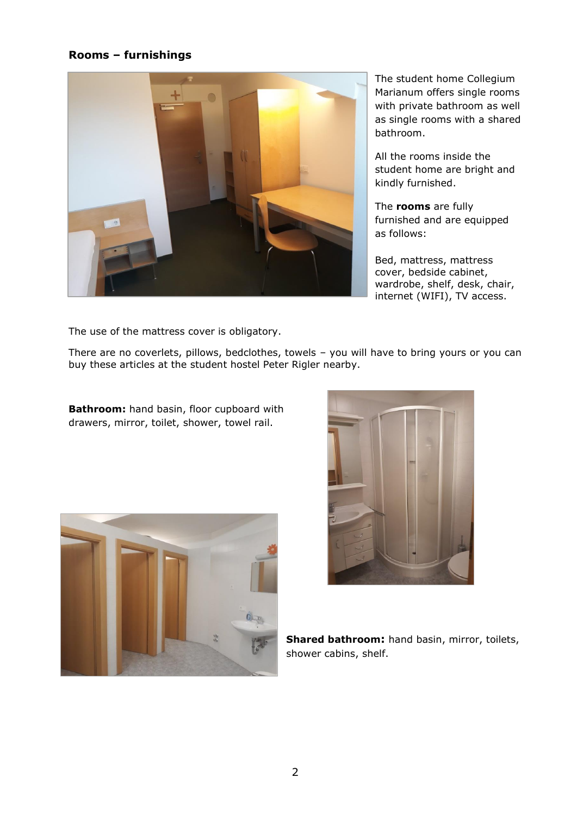# **Rooms – furnishings**



The student home Collegium Marianum offers single rooms with private bathroom as well as single rooms with a shared bathroom.

All the rooms inside the student home are bright and kindly furnished.

The **rooms** are fully furnished and are equipped as follows:

Bed, mattress, mattress cover, bedside cabinet, wardrobe, shelf, desk, chair, internet (WIFI), TV access.

The use of the mattress cover is obligatory.

There are no coverlets, pillows, bedclothes, towels – you will have to bring yours or you can buy these articles at the student hostel Peter Rigler nearby.

**Bathroom:** hand basin, floor cupboard with drawers, mirror, toilet, shower, towel rail.





**Shared bathroom:** hand basin, mirror, toilets, shower cabins, shelf.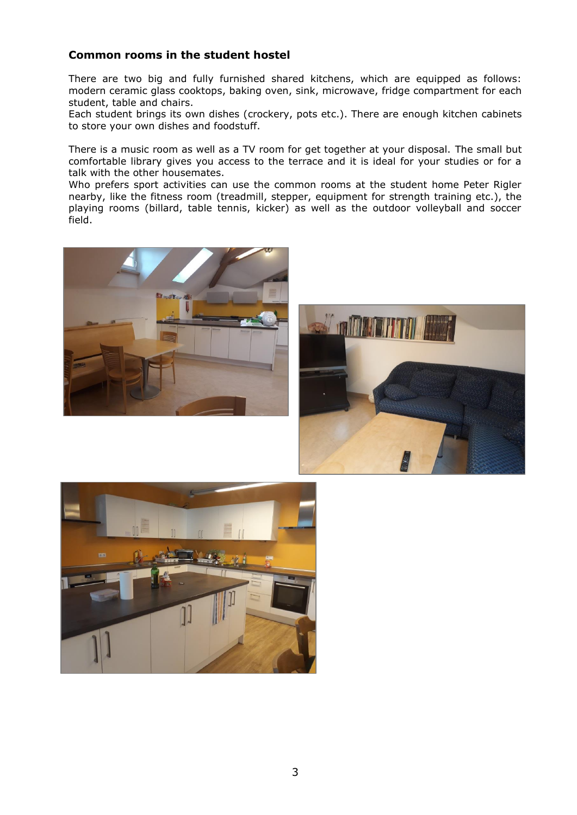# **Common rooms in the student hostel**

There are two big and fully furnished shared kitchens, which are equipped as follows: modern ceramic glass cooktops, baking oven, sink, microwave, fridge compartment for each student, table and chairs.

Each student brings its own dishes (crockery, pots etc.). There are enough kitchen cabinets to store your own dishes and foodstuff.

There is a music room as well as a TV room for get together at your disposal. The small but comfortable library gives you access to the terrace and it is ideal for your studies or for a talk with the other housemates.

Who prefers sport activities can use the common rooms at the student home Peter Rigler nearby, like the fitness room (treadmill, stepper, equipment for strength training etc.), the playing rooms (billard, table tennis, kicker) as well as the outdoor volleyball and soccer field.